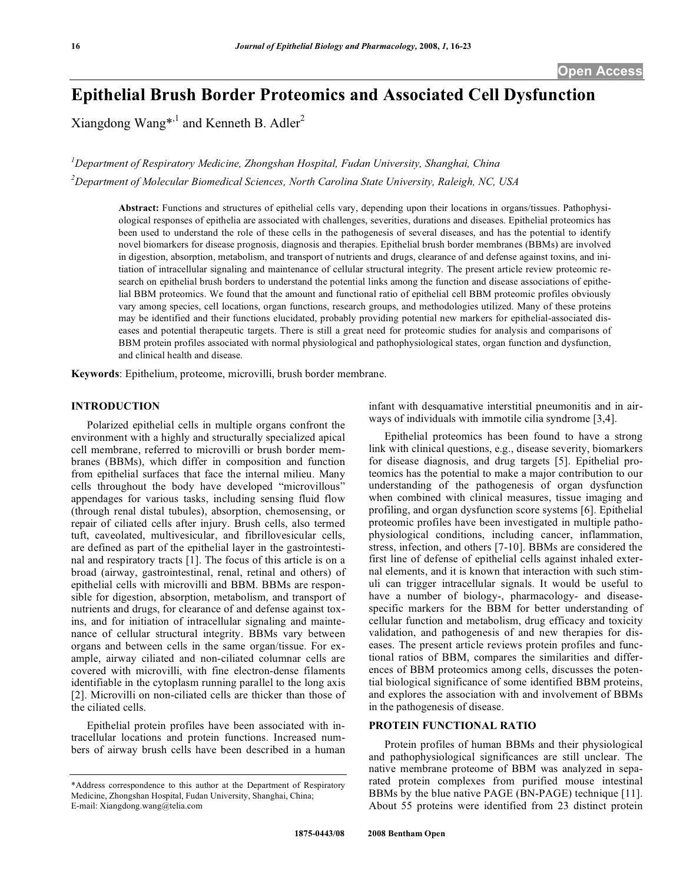# **Epithelial Brush Border Proteomics and Associated Cell Dysfunction**

Xiangdong Wang\*,<sup>1</sup> and Kenneth B. Adler<sup>2</sup>

*1 Department of Respiratory Medicine, Zhongshan Hospital, Fudan University, Shanghai, China 2 Department of Molecular Biomedical Sciences, North Carolina State University, Raleigh, NC, USA* 

> **Abstract:** Functions and structures of epithelial cells vary, depending upon their locations in organs/tissues. Pathophysiological responses of epithelia are associated with challenges, severities, durations and diseases. Epithelial proteomics has been used to understand the role of these cells in the pathogenesis of several diseases, and has the potential to identify novel biomarkers for disease prognosis, diagnosis and therapies. Epithelial brush border membranes (BBMs) are involved in digestion, absorption, metabolism, and transport of nutrients and drugs, clearance of and defense against toxins, and initiation of intracellular signaling and maintenance of cellular structural integrity. The present article review proteomic research on epithelial brush borders to understand the potential links among the function and disease associations of epithelial BBM proteomics. We found that the amount and functional ratio of epithelial cell BBM proteomic profiles obviously vary among species, cell locations, organ functions, research groups, and methodologies utilized. Many of these proteins may be identified and their functions elucidated, probably providing potential new markers for epithelial-associated diseases and potential therapeutic targets. There is still a great need for proteomic studies for analysis and comparisons of BBM protein profiles associated with normal physiological and pathophysiological states, organ function and dysfunction, and clinical health and disease.

**Keywords**: Epithelium, proteome, microvilli, brush border membrane.

### **INTRODUCTION**

 Polarized epithelial cells in multiple organs confront the environment with a highly and structurally specialized apical cell membrane, referred to microvilli or brush border membranes (BBMs), which differ in composition and function from epithelial surfaces that face the internal milieu. Many cells throughout the body have developed "microvillous" appendages for various tasks, including sensing fluid flow (through renal distal tubules), absorption, chemosensing, or repair of ciliated cells after injury. Brush cells, also termed tuft, caveolated, multivesicular, and fibrillovesicular cells, are defined as part of the epithelial layer in the gastrointestinal and respiratory tracts [1]. The focus of this article is on a broad (airway, gastrointestinal, renal, retinal and others) of epithelial cells with microvilli and BBM. BBMs are responsible for digestion, absorption, metabolism, and transport of nutrients and drugs, for clearance of and defense against toxins, and for initiation of intracellular signaling and maintenance of cellular structural integrity. BBMs vary between organs and between cells in the same organ/tissue. For example, airway ciliated and non-ciliated columnar cells are covered with microvilli, with fine electron-dense filaments identifiable in the cytoplasm running parallel to the long axis [2]. Microvilli on non-ciliated cells are thicker than those of the ciliated cells.

 Epithelial protein profiles have been associated with intracellular locations and protein functions. Increased numbers of airway brush cells have been described in a human infant with desquamative interstitial pneumonitis and in airways of individuals with immotile cilia syndrome [3,4].

 Epithelial proteomics has been found to have a strong link with clinical questions, e.g., disease severity, biomarkers for disease diagnosis, and drug targets [5]. Epithelial proteomics has the potential to make a major contribution to our understanding of the pathogenesis of organ dysfunction when combined with clinical measures, tissue imaging and profiling, and organ dysfunction score systems [6]. Epithelial proteomic profiles have been investigated in multiple pathophysiological conditions, including cancer, inflammation, stress, infection, and others [7-10]. BBMs are considered the first line of defense of epithelial cells against inhaled external elements, and it is known that interaction with such stimuli can trigger intracellular signals. It would be useful to have a number of biology-, pharmacology- and diseasespecific markers for the BBM for better understanding of cellular function and metabolism, drug efficacy and toxicity validation, and pathogenesis of and new therapies for diseases. The present article reviews protein profiles and functional ratios of BBM, compares the similarities and differences of BBM proteomics among cells, discusses the potential biological significance of some identified BBM proteins, and explores the association with and involvement of BBMs in the pathogenesis of disease.

# **PROTEIN FUNCTIONAL RATIO**

 Protein profiles of human BBMs and their physiological and pathophysiological significances are still unclear. The native membrane proteome of BBM was analyzed in separated protein complexes from purified mouse intestinal BBMs by the blue native PAGE (BN-PAGE) technique [11]. About 55 proteins were identified from 23 distinct protein

<sup>\*</sup>Address correspondence to this author at the Department of Respiratory Medicine, Zhongshan Hospital, Fudan University, Shanghai, China; E-mail: Xiangdong.wang@telia.com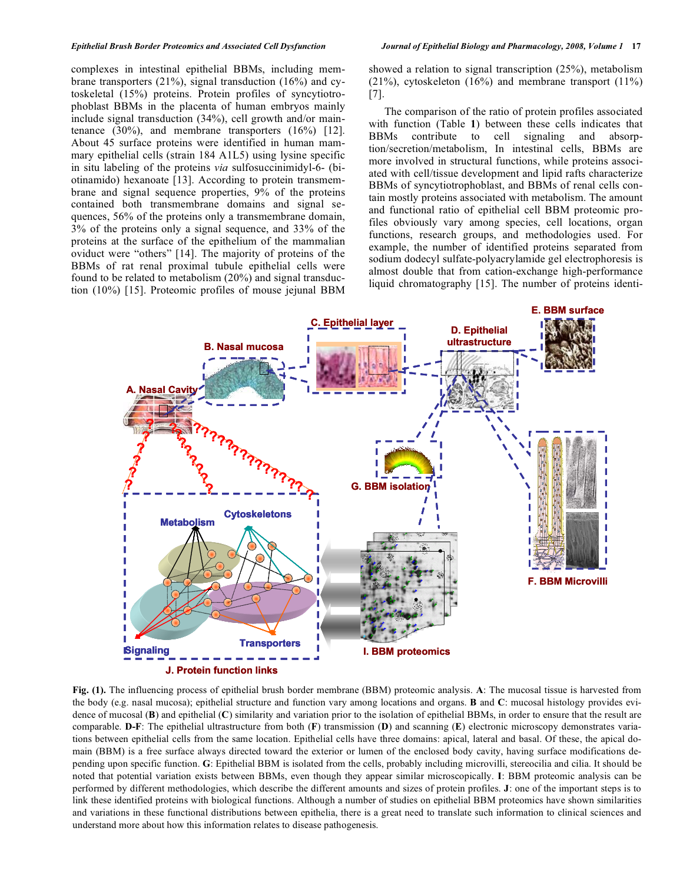complexes in intestinal epithelial BBMs, including membrane transporters (21%), signal transduction (16%) and cytoskeletal (15%) proteins. Protein profiles of syncytiotrophoblast BBMs in the placenta of human embryos mainly include signal transduction (34%), cell growth and/or maintenance (30%), and membrane transporters (16%) [12]. About 45 surface proteins were identified in human mammary epithelial cells (strain 184 A1L5) using lysine specific in situ labeling of the proteins *via* sulfosuccinimidyl-6- (biotinamido) hexanoate [13]. According to protein transmembrane and signal sequence properties, 9% of the proteins contained both transmembrane domains and signal sequences, 56% of the proteins only a transmembrane domain, 3% of the proteins only a signal sequence, and 33% of the proteins at the surface of the epithelium of the mammalian oviduct were "others" [14]. The majority of proteins of the BBMs of rat renal proximal tubule epithelial cells were found to be related to metabolism (20%) and signal transduction (10%) [15]. Proteomic profiles of mouse jejunal BBM showed a relation to signal transcription (25%), metabolism  $(21\%)$ , cytoskeleton  $(16\%)$  and membrane transport  $(11\%)$ [7].

 The comparison of the ratio of protein profiles associated with function (Table **1**) between these cells indicates that BBMs contribute to cell signaling and absorption/secretion/metabolism, In intestinal cells, BBMs are more involved in structural functions, while proteins associated with cell/tissue development and lipid rafts characterize BBMs of syncytiotrophoblast, and BBMs of renal cells contain mostly proteins associated with metabolism. The amount and functional ratio of epithelial cell BBM proteomic profiles obviously vary among species, cell locations, organ functions, research groups, and methodologies used. For example, the number of identified proteins separated from sodium dodecyl sulfate-polyacrylamide gel electrophoresis is almost double that from cation-exchange high-performance liquid chromatography [15]. The number of proteins identi-



**Fig. (1).** The influencing process of epithelial brush border membrane (BBM) proteomic analysis. **A**: The mucosal tissue is harvested from the body (e.g. nasal mucosa); epithelial structure and function vary among locations and organs. **B** and **C**: mucosal histology provides evidence of mucosal (**B**) and epithelial (**C**) similarity and variation prior to the isolation of epithelial BBMs, in order to ensure that the result are comparable. **D-F**: The epithelial ultrastructure from both (**F**) transmission (**D**) and scanning (**E**) electronic microscopy demonstrates variations between epithelial cells from the same location. Epithelial cells have three domains: apical, lateral and basal. Of these, the apical domain (BBM) is a free surface always directed toward the exterior or lumen of the enclosed body cavity, having surface modifications depending upon specific function. **G**: Epithelial BBM is isolated from the cells, probably including microvilli, stereocilia and cilia. It should be noted that potential variation exists between BBMs, even though they appear similar microscopically. **I**: BBM proteomic analysis can be performed by different methodologies, which describe the different amounts and sizes of protein profiles. **J**: one of the important steps is to link these identified proteins with biological functions. Although a number of studies on epithelial BBM proteomics have shown similarities and variations in these functional distributions between epithelia, there is a great need to translate such information to clinical sciences and understand more about how this information relates to disease pathogenesis.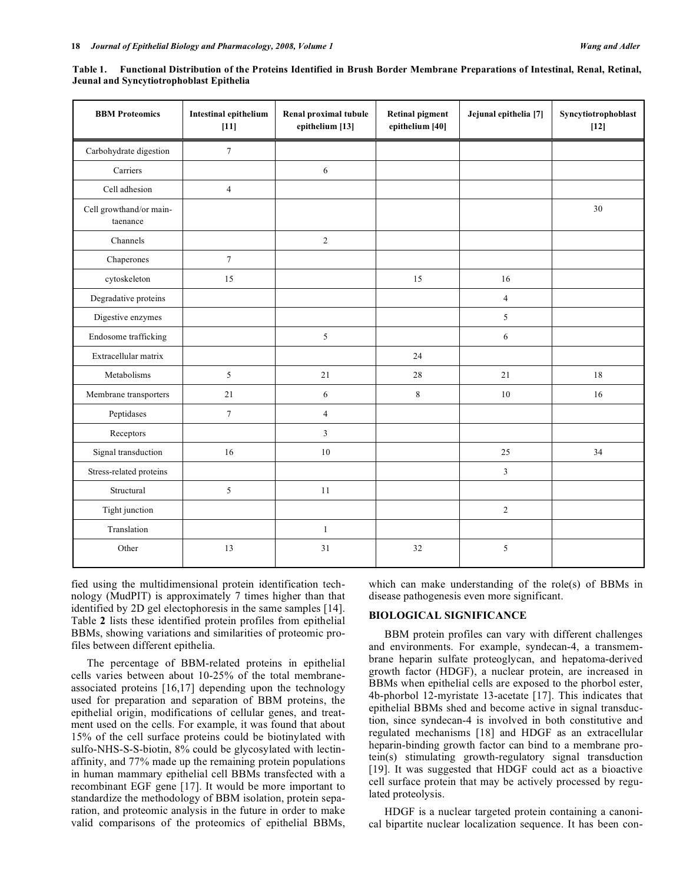| <b>BBM</b> Proteomics               | <b>Intestinal epithelium</b><br>$[11]$ | Renal proximal tubule<br>epithelium [13] | <b>Retinal pigment</b><br>epithelium [40] | Jejunal epithelia [7] | Syncytiotrophoblast<br>$[12]$ |
|-------------------------------------|----------------------------------------|------------------------------------------|-------------------------------------------|-----------------------|-------------------------------|
| Carbohydrate digestion              | $\tau$                                 |                                          |                                           |                       |                               |
| Carriers                            |                                        | $\sqrt{6}$                               |                                           |                       |                               |
| Cell adhesion                       | $\overline{4}$                         |                                          |                                           |                       |                               |
| Cell growthand/or main-<br>taenance |                                        |                                          |                                           |                       | 30                            |
| Channels                            |                                        | 2                                        |                                           |                       |                               |
| Chaperones                          | $\overline{7}$                         |                                          |                                           |                       |                               |
| cytoskeleton                        | 15                                     |                                          | 15                                        | 16                    |                               |
| Degradative proteins                |                                        |                                          |                                           | $\overline{4}$        |                               |
| Digestive enzymes                   |                                        |                                          |                                           | 5                     |                               |
| Endosome trafficking                |                                        | $\sqrt{5}$                               |                                           | 6                     |                               |
| Extracellular matrix                |                                        |                                          | 24                                        |                       |                               |
| Metabolisms                         | 5                                      | 21                                       | 28                                        | 21                    | 18                            |
| Membrane transporters               | 21                                     | 6                                        | $\,8\,$                                   | $10\,$                | 16                            |
| Peptidases                          | $\tau$                                 | $\overline{4}$                           |                                           |                       |                               |
| Receptors                           |                                        | $\mathfrak{Z}$                           |                                           |                       |                               |
| Signal transduction                 | 16                                     | 10                                       |                                           | 25                    | 34                            |
| Stress-related proteins             |                                        |                                          |                                           | $\mathfrak{Z}$        |                               |
| Structural                          | 5                                      | 11                                       |                                           |                       |                               |
| Tight junction                      |                                        |                                          |                                           | $\sqrt{2}$            |                               |
| Translation                         |                                        | $\mathbf{1}$                             |                                           |                       |                               |
| Other                               | 13                                     | 31                                       | 32                                        | 5                     |                               |

**Table 1. Functional Distribution of the Proteins Identified in Brush Border Membrane Preparations of Intestinal, Renal, Retinal, Jeunal and Syncytiotrophoblast Epithelia** 

fied using the multidimensional protein identification technology (MudPIT) is approximately 7 times higher than that identified by 2D gel electophoresis in the same samples [14]. Table **2** lists these identified protein profiles from epithelial BBMs, showing variations and similarities of proteomic profiles between different epithelia.

 The percentage of BBM-related proteins in epithelial cells varies between about 10-25% of the total membraneassociated proteins [16,17] depending upon the technology used for preparation and separation of BBM proteins, the epithelial origin, modifications of cellular genes, and treatment used on the cells. For example, it was found that about 15% of the cell surface proteins could be biotinylated with sulfo-NHS-S-S-biotin, 8% could be glycosylated with lectinaffinity, and 77% made up the remaining protein populations in human mammary epithelial cell BBMs transfected with a recombinant EGF gene [17]. It would be more important to standardize the methodology of BBM isolation, protein separation, and proteomic analysis in the future in order to make valid comparisons of the proteomics of epithelial BBMs, which can make understanding of the role(s) of BBMs in disease pathogenesis even more significant.

## **BIOLOGICAL SIGNIFICANCE**

 BBM protein profiles can vary with different challenges and environments. For example, syndecan-4, a transmembrane heparin sulfate proteoglycan, and hepatoma-derived growth factor (HDGF), a nuclear protein, are increased in BBMs when epithelial cells are exposed to the phorbol ester, 4b-phorbol 12-myristate 13-acetate [17]. This indicates that epithelial BBMs shed and become active in signal transduction, since syndecan-4 is involved in both constitutive and regulated mechanisms [18] and HDGF as an extracellular heparin-binding growth factor can bind to a membrane protein(s) stimulating growth-regulatory signal transduction [19]. It was suggested that HDGF could act as a bioactive cell surface protein that may be actively processed by regulated proteolysis.

 HDGF is a nuclear targeted protein containing a canonical bipartite nuclear localization sequence. It has been con-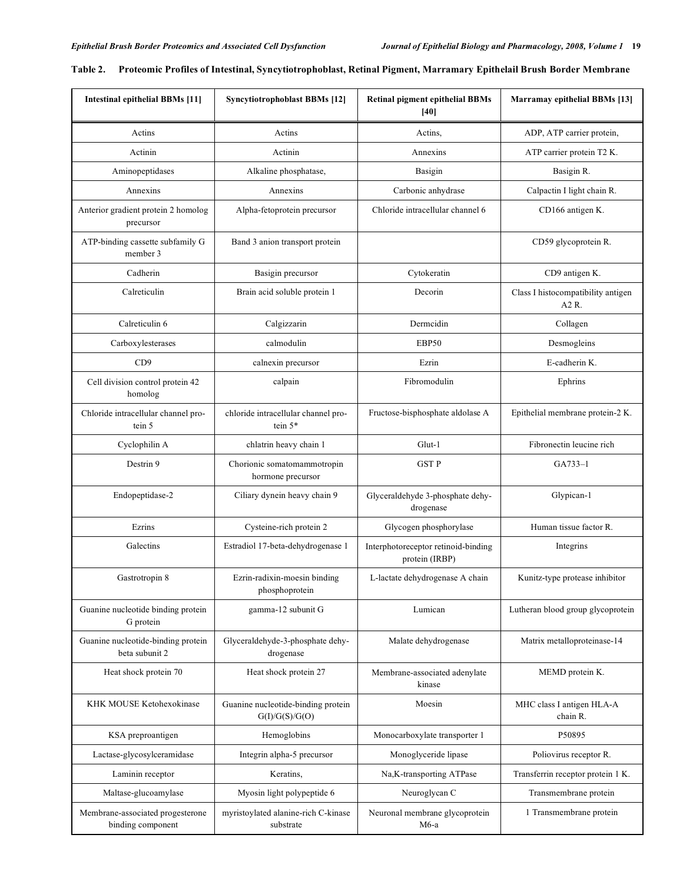| <b>Intestinal epithelial BBMs [11]</b>                | <b>Syncytiotrophoblast BBMs [12]</b>                 | <b>Retinal pigment epithelial BBMs</b><br>[40]        | Marramay epithelial BBMs [13]               |
|-------------------------------------------------------|------------------------------------------------------|-------------------------------------------------------|---------------------------------------------|
| Actins                                                | Actins                                               | Actins,                                               | ADP, ATP carrier protein,                   |
| Actinin                                               | Actinin                                              | Annexins                                              | ATP carrier protein T2 K.                   |
| Aminopeptidases                                       | Alkaline phosphatase,                                | Basigin                                               | Basigin R.                                  |
| Annexins                                              | Annexins                                             | Carbonic anhydrase                                    | Calpactin I light chain R.                  |
| Anterior gradient protein 2 homolog<br>precursor      | Alpha-fetoprotein precursor                          | Chloride intracellular channel 6                      | CD166 antigen K.                            |
| ATP-binding cassette subfamily G<br>member 3          | Band 3 anion transport protein                       |                                                       | CD59 glycoprotein R.                        |
| Cadherin                                              | Basigin precursor                                    | Cytokeratin                                           | CD9 antigen K.                              |
| Calreticulin                                          | Brain acid soluble protein 1                         | Decorin                                               | Class I histocompatibility antigen<br>A2 R. |
| Calreticulin 6                                        | Calgizzarin                                          | Dermcidin                                             | Collagen                                    |
| Carboxylesterases                                     | calmodulin                                           | EBP50                                                 | Desmogleins                                 |
| CD9                                                   | calnexin precursor                                   | Ezrin                                                 | E-cadherin K.                               |
| Cell division control protein 42<br>homolog           | calpain                                              | Fibromodulin                                          | Ephrins                                     |
| Chloride intracellular channel pro-<br>tein 5         | chloride intracellular channel pro-<br>tein 5*       | Fructose-bisphosphate aldolase A                      | Epithelial membrane protein-2 K.            |
| Cyclophilin A                                         | chlatrin heavy chain 1                               | Glut-1                                                | Fibronectin leucine rich                    |
| Destrin 9                                             | Chorionic somatomammotropin<br>hormone precursor     | <b>GST P</b>                                          | $GA733-1$                                   |
| Endopeptidase-2                                       | Ciliary dynein heavy chain 9                         | Glyceraldehyde 3-phosphate dehy-<br>drogenase         | Glypican-1                                  |
| Ezrins                                                | Cysteine-rich protein 2                              | Glycogen phosphorylase                                | Human tissue factor R.                      |
| Galectins                                             | Estradiol 17-beta-dehydrogenase 1                    | Interphotoreceptor retinoid-binding<br>protein (IRBP) | Integrins                                   |
| Gastrotropin 8                                        | Ezrin-radixin-moesin binding<br>phosphoprotein       | L-lactate dehydrogenase A chain                       | Kunitz-type protease inhibitor              |
| Guanine nucleotide binding protein<br>G protein       | gamma-12 subunit G                                   | Lumican                                               | Lutheran blood group glycoprotein           |
| Guanine nucleotide-binding protein<br>beta subunit 2  | Glyceraldehyde-3-phosphate dehy-<br>drogenase        | Malate dehydrogenase                                  | Matrix metalloproteinase-14                 |
| Heat shock protein 70                                 | Heat shock protein 27                                | Membrane-associated adenylate<br>kinase               | MEMD protein K.                             |
| KHK MOUSE Ketohexokinase                              | Guanine nucleotide-binding protein<br>G(I)/G(S)/G(O) | Moesin                                                | MHC class I antigen HLA-A<br>chain R.       |
| KSA preproantigen                                     | Hemoglobins                                          | Monocarboxylate transporter 1                         | P50895                                      |
| Lactase-glycosylceramidase                            | Integrin alpha-5 precursor                           | Monoglyceride lipase                                  | Poliovirus receptor R.                      |
| Laminin receptor                                      | Keratins,                                            | Na, K-transporting ATPase                             | Transferrin receptor protein 1 K.           |
| Maltase-glucoamylase                                  | Myosin light polypeptide 6                           | Neuroglycan C                                         | Transmembrane protein                       |
| Membrane-associated progesterone<br>binding component | myristoylated alanine-rich C-kinase<br>substrate     | Neuronal membrane glycoprotein<br>$M6-a$              | 1 Transmembrane protein                     |

| Table 2. Proteomic Profiles of Intestinal, Syncytiotrophoblast, Retinal Pigment, Marramary Epithelail Brush Border Membrane |
|-----------------------------------------------------------------------------------------------------------------------------|
|                                                                                                                             |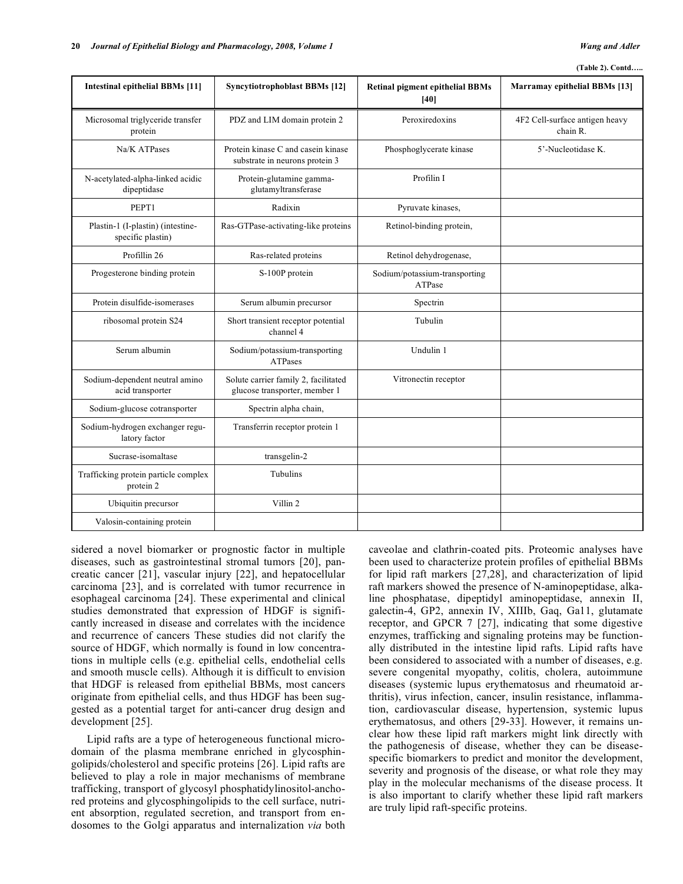#### **(Table 2). Contd…..**

| <b>Intestinal epithelial BBMs [11]</b>                 | <b>Syncytiotrophoblast BBMs [12]</b>                                  | <b>Retinal pigment epithelial BBMs</b><br>[40] | Marramay epithelial BBMs [13]              |
|--------------------------------------------------------|-----------------------------------------------------------------------|------------------------------------------------|--------------------------------------------|
| Microsomal triglyceride transfer<br>protein            | PDZ and LIM domain protein 2                                          | Peroxiredoxins                                 | 4F2 Cell-surface antigen heavy<br>chain R. |
| Na/K ATPases                                           | Protein kinase C and casein kinase<br>substrate in neurons protein 3  | Phosphoglycerate kinase                        | 5'-Nucleotidase K.                         |
| N-acetylated-alpha-linked acidic<br>dipeptidase        | Protein-glutamine gamma-<br>glutamyltransferase                       | Profilin I                                     |                                            |
| PEPT1                                                  | Radixin                                                               | Pyruvate kinases,                              |                                            |
| Plastin-1 (I-plastin) (intestine-<br>specific plastin) | Ras-GTPase-activating-like proteins                                   | Retinol-binding protein,                       |                                            |
| Profillin 26                                           | Ras-related proteins                                                  | Retinol dehydrogenase,                         |                                            |
| Progesterone binding protein                           | S-100P protein                                                        | Sodium/potassium-transporting<br>ATPase        |                                            |
| Protein disulfide-isomerases                           | Serum albumin precursor                                               | Spectrin                                       |                                            |
| ribosomal protein S24                                  | Short transient receptor potential<br>channel 4                       | Tubulin                                        |                                            |
| Serum albumin                                          | Sodium/potassium-transporting<br><b>ATPases</b>                       | Undulin 1                                      |                                            |
| Sodium-dependent neutral amino<br>acid transporter     | Solute carrier family 2, facilitated<br>glucose transporter, member 1 | Vitronectin receptor                           |                                            |
| Sodium-glucose cotransporter                           | Spectrin alpha chain,                                                 |                                                |                                            |
| Sodium-hydrogen exchanger regu-<br>latory factor       | Transferrin receptor protein 1                                        |                                                |                                            |
| Sucrase-isomaltase                                     | transgelin-2                                                          |                                                |                                            |
| Trafficking protein particle complex<br>protein 2      | <b>Tubulins</b>                                                       |                                                |                                            |
| Ubiquitin precursor                                    | Villin 2                                                              |                                                |                                            |
| Valosin-containing protein                             |                                                                       |                                                |                                            |

sidered a novel biomarker or prognostic factor in multiple diseases, such as gastrointestinal stromal tumors [20], pancreatic cancer [21], vascular injury [22], and hepatocellular carcinoma [23], and is correlated with tumor recurrence in esophageal carcinoma [24]. These experimental and clinical studies demonstrated that expression of HDGF is significantly increased in disease and correlates with the incidence and recurrence of cancers These studies did not clarify the source of HDGF, which normally is found in low concentrations in multiple cells (e.g. epithelial cells, endothelial cells and smooth muscle cells). Although it is difficult to envision that HDGF is released from epithelial BBMs, most cancers originate from epithelial cells, and thus HDGF has been suggested as a potential target for anti-cancer drug design and development [25].

 Lipid rafts are a type of heterogeneous functional microdomain of the plasma membrane enriched in glycosphingolipids/cholesterol and specific proteins [26]. Lipid rafts are believed to play a role in major mechanisms of membrane trafficking, transport of glycosyl phosphatidylinositol-anchored proteins and glycosphingolipids to the cell surface, nutrient absorption, regulated secretion, and transport from endosomes to the Golgi apparatus and internalization *via* both caveolae and clathrin-coated pits. Proteomic analyses have been used to characterize protein profiles of epithelial BBMs for lipid raft markers [27,28], and characterization of lipid raft markers showed the presence of N-aminopeptidase, alkaline phosphatase, dipeptidyl aminopeptidase, annexin II, galectin-4, GP2, annexin IV, XIIIb, Gaq, Ga11, glutamate receptor, and GPCR 7 [27], indicating that some digestive enzymes, trafficking and signaling proteins may be functionally distributed in the intestine lipid rafts. Lipid rafts have been considered to associated with a number of diseases, e.g. severe congenital myopathy, colitis, cholera, autoimmune diseases (systemic lupus erythematosus and rheumatoid arthritis), virus infection, cancer, insulin resistance, inflammation, cardiovascular disease, hypertension, systemic lupus erythematosus, and others [29-33]. However, it remains unclear how these lipid raft markers might link directly with the pathogenesis of disease, whether they can be diseasespecific biomarkers to predict and monitor the development, severity and prognosis of the disease, or what role they may play in the molecular mechanisms of the disease process. It is also important to clarify whether these lipid raft markers are truly lipid raft-specific proteins.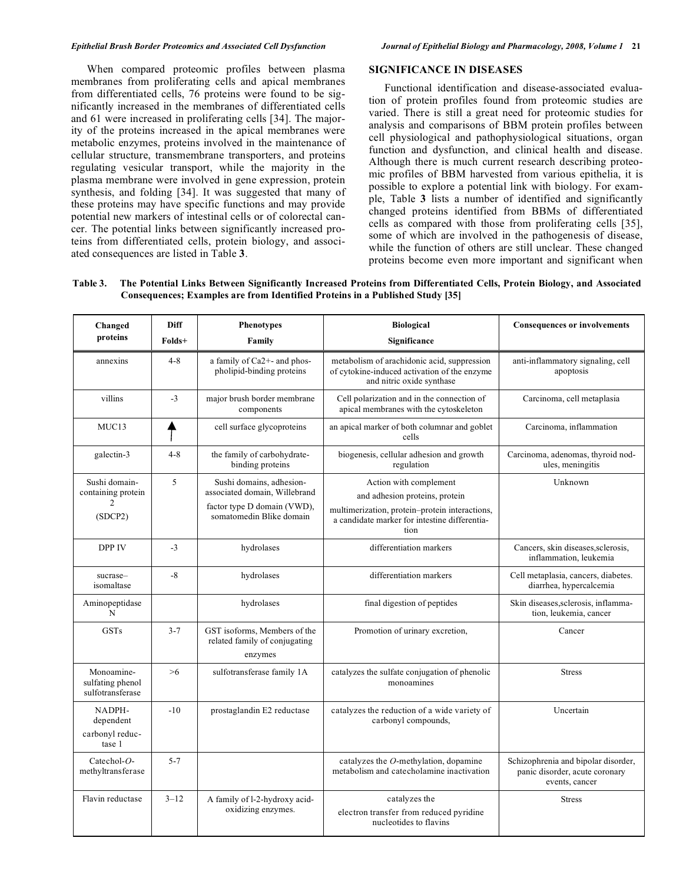When compared proteomic profiles between plasma membranes from proliferating cells and apical membranes from differentiated cells, 76 proteins were found to be significantly increased in the membranes of differentiated cells and 61 were increased in proliferating cells [34]. The majority of the proteins increased in the apical membranes were metabolic enzymes, proteins involved in the maintenance of cellular structure, transmembrane transporters, and proteins regulating vesicular transport, while the majority in the plasma membrane were involved in gene expression, protein synthesis, and folding [34]. It was suggested that many of these proteins may have specific functions and may provide potential new markers of intestinal cells or of colorectal cancer. The potential links between significantly increased proteins from differentiated cells, protein biology, and associated consequences are listed in Table **3**.

### **SIGNIFICANCE IN DISEASES**

 Functional identification and disease-associated evaluation of protein profiles found from proteomic studies are varied. There is still a great need for proteomic studies for analysis and comparisons of BBM protein profiles between cell physiological and pathophysiological situations, organ function and dysfunction, and clinical health and disease. Although there is much current research describing proteomic profiles of BBM harvested from various epithelia, it is possible to explore a potential link with biology. For example, Table **3** lists a number of identified and significantly changed proteins identified from BBMs of differentiated cells as compared with those from proliferating cells [35], some of which are involved in the pathogenesis of disease, while the function of others are still unclear. These changed proteins become even more important and significant when

**Table 3. The Potential Links Between Significantly Increased Proteins from Differentiated Cells, Protein Biology, and Associated Consequences; Examples are from Identified Proteins in a Published Study [35]** 

| Changed<br>proteins                                              | Diff<br>Folds+ | <b>Phenotypes</b><br>Family                                                                                          | <b>Biological</b><br>Significance                                                                                                                                   | <b>Consequences or involvements</b>                                                     |
|------------------------------------------------------------------|----------------|----------------------------------------------------------------------------------------------------------------------|---------------------------------------------------------------------------------------------------------------------------------------------------------------------|-----------------------------------------------------------------------------------------|
| annexins                                                         | $4 - 8$        | a family of Ca2+- and phos-<br>pholipid-binding proteins                                                             | metabolism of arachidonic acid, suppression<br>of cytokine-induced activation of the enzyme<br>and nitric oxide synthase                                            | anti-inflammatory signaling, cell<br>apoptosis                                          |
| villins                                                          | $-3$           | major brush border membrane<br>components                                                                            | Cell polarization and in the connection of<br>apical membranes with the cytoskeleton                                                                                | Carcinoma, cell metaplasia                                                              |
| MUC13                                                            |                | cell surface glycoproteins                                                                                           | an apical marker of both columnar and goblet<br>cells                                                                                                               | Carcinoma, inflammation                                                                 |
| galectin-3                                                       | $4 - 8$        | the family of carbohydrate-<br>binding proteins                                                                      | biogenesis, cellular adhesion and growth<br>regulation                                                                                                              | Carcinoma, adenomas, thyroid nod-<br>ules, meningitis                                   |
| Sushi domain-<br>containing protein<br>$\overline{c}$<br>(SDCP2) | 5              | Sushi domains, adhesion-<br>associated domain, Willebrand<br>factor type D domain (VWD),<br>somatomedin Blike domain | Action with complement<br>and adhesion proteins, protein<br>multimerization, protein-protein interactions,<br>a candidate marker for intestine differentia-<br>tion | Unknown                                                                                 |
| <b>DPP IV</b>                                                    | $-3$           | hydrolases                                                                                                           | differentiation markers                                                                                                                                             | Cancers, skin diseases, sclerosis,<br>inflammation, leukemia                            |
| sucrase-<br>isomaltase                                           | $-8$           | hydrolases                                                                                                           | differentiation markers                                                                                                                                             | Cell metaplasia, cancers, diabetes.<br>diarrhea, hypercalcemia                          |
| Aminopeptidase<br>N                                              |                | hydrolases                                                                                                           | final digestion of peptides                                                                                                                                         | Skin diseases, sclerosis, inflamma-<br>tion, leukemia, cancer                           |
| <b>GSTs</b>                                                      | $3 - 7$        | GST isoforms, Members of the<br>related family of conjugating<br>enzymes                                             | Promotion of urinary excretion,                                                                                                                                     | Cancer                                                                                  |
| Monoamine-<br>sulfating phenol<br>sulfotransferase               | >6             | sulfotransferase family 1A                                                                                           | catalyzes the sulfate conjugation of phenolic<br>monoamines                                                                                                         | <b>Stress</b>                                                                           |
| NADPH-<br>dependent<br>carbonyl reduc-<br>tase 1                 | $-10$          | prostaglandin E2 reductase                                                                                           | catalyzes the reduction of a wide variety of<br>carbonyl compounds,                                                                                                 | Uncertain                                                                               |
| Catechol- $O$ -<br>methyltransferase                             | $5 - 7$        |                                                                                                                      | catalyzes the $O$ -methylation, dopamine<br>metabolism and catecholamine inactivation                                                                               | Schizophrenia and bipolar disorder,<br>panic disorder, acute coronary<br>events, cancer |
| Flavin reductase                                                 | $3 - 12$       | A family of l-2-hydroxy acid-<br>oxidizing enzymes.                                                                  | catalyzes the<br>electron transfer from reduced pyridine<br>nucleotides to flavins                                                                                  | <b>Stress</b>                                                                           |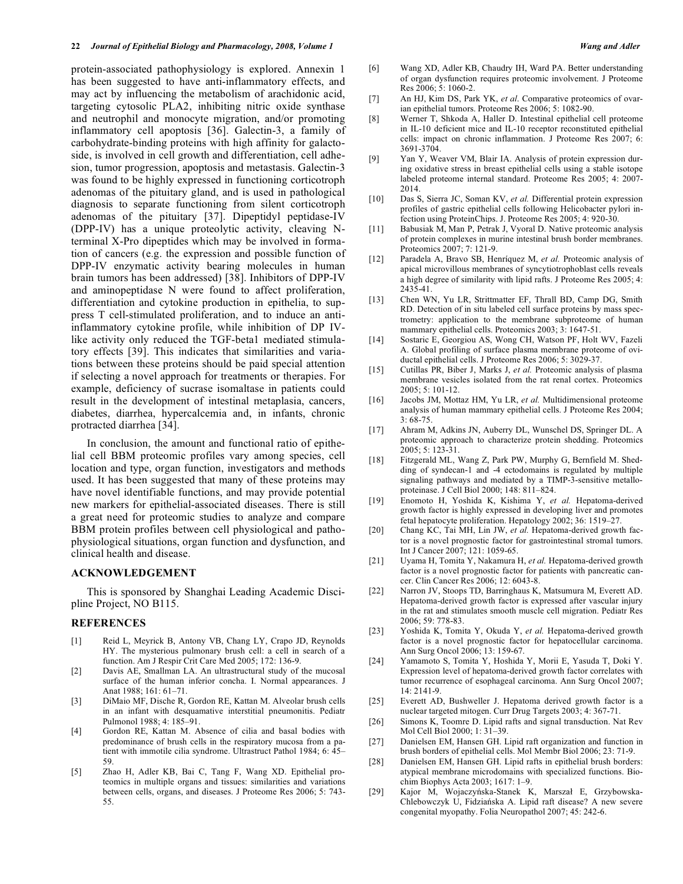protein-associated pathophysiology is explored. Annexin 1 has been suggested to have anti-inflammatory effects, and may act by influencing the metabolism of arachidonic acid, targeting cytosolic PLA2, inhibiting nitric oxide synthase and neutrophil and monocyte migration, and/or promoting inflammatory cell apoptosis [36]. Galectin-3, a family of carbohydrate-binding proteins with high affinity for galactoside, is involved in cell growth and differentiation, cell adhesion, tumor progression, apoptosis and metastasis. Galectin-3 was found to be highly expressed in functioning corticotroph adenomas of the pituitary gland, and is used in pathological diagnosis to separate functioning from silent corticotroph adenomas of the pituitary [37]. Dipeptidyl peptidase-IV (DPP-IV) has a unique proteolytic activity, cleaving Nterminal X-Pro dipeptides which may be involved in formation of cancers (e.g. the expression and possible function of DPP-IV enzymatic activity bearing molecules in human brain tumors has been addressed) [38]. Inhibitors of DPP-IV and aminopeptidase N were found to affect proliferation, differentiation and cytokine production in epithelia, to suppress T cell-stimulated proliferation, and to induce an antiinflammatory cytokine profile, while inhibition of DP IVlike activity only reduced the TGF-beta1 mediated stimulatory effects [39]. This indicates that similarities and variations between these proteins should be paid special attention if selecting a novel approach for treatments or therapies. For example, deficiency of sucrase isomaltase in patients could result in the development of intestinal metaplasia, cancers, diabetes, diarrhea, hypercalcemia and, in infants, chronic protracted diarrhea [34].

 In conclusion, the amount and functional ratio of epithelial cell BBM proteomic profiles vary among species, cell location and type, organ function, investigators and methods used. It has been suggested that many of these proteins may have novel identifiable functions, and may provide potential new markers for epithelial-associated diseases. There is still a great need for proteomic studies to analyze and compare BBM protein profiles between cell physiological and pathophysiological situations, organ function and dysfunction, and clinical health and disease.

### **ACKNOWLEDGEMENT**

 This is sponsored by Shanghai Leading Academic Discipline Project, NO B115.

#### **REFERENCES**

- [1] Reid L, Meyrick B, Antony VB, Chang LY, Crapo JD, Reynolds HY. The mysterious pulmonary brush cell: a cell in search of a function. Am J Respir Crit Care Med 2005; 172: 136-9.
- [2] Davis AE, Smallman LA. An ultrastructural study of the mucosal surface of the human inferior concha. I. Normal appearances. J Anat 1988: 161: 61-71.
- [3] DiMaio MF, Dische R, Gordon RE, Kattan M. Alveolar brush cells in an infant with desquamative interstitial pneumonitis. Pediatr Pulmonol 1988; 4: 185–91.
- [4] Gordon RE, Kattan M. Absence of cilia and basal bodies with predominance of brush cells in the respiratory mucosa from a patient with immotile cilia syndrome. Ultrastruct Pathol 1984; 6: 45– 59.
- [5] Zhao H, Adler KB, Bai C, Tang F, Wang XD. Epithelial proteomics in multiple organs and tissues: similarities and variations between cells, organs, and diseases. J Proteome Res 2006; 5: 743- 55.
- [6] Wang XD, Adler KB, Chaudry IH, Ward PA. Better understanding of organ dysfunction requires proteomic involvement. J Proteome Res 2006; 5: 1060-2.
- [7] An HJ, Kim DS, Park YK, *et al*. Comparative proteomics of ovarian epithelial tumors. Proteome Res 2006; 5: 1082-90.
- [8] Werner T, Shkoda A, Haller D. Intestinal epithelial cell proteome in IL-10 deficient mice and IL-10 receptor reconstituted epithelial cells: impact on chronic inflammation. J Proteome Res 2007; 6: 3691-3704.
- [9] Yan Y, Weaver VM, Blair IA. Analysis of protein expression during oxidative stress in breast epithelial cells using a stable isotope labeled proteome internal standard. Proteome Res 2005; 4: 2007- 2014.
- [10] Das S, Sierra JC, Soman KV, *et al.* Differential protein expression profiles of gastric epithelial cells following Helicobacter pylori infection using ProteinChips. J. Proteome Res 2005; 4: 920-30.
- [11] Babusiak M, Man P, Petrak J, Vyoral D. Native proteomic analysis of protein complexes in murine intestinal brush border membranes. Proteomics 2007; 7: 121-9.
- [12] Paradela A, Bravo SB, Henríquez M, *et al.* Proteomic analysis of apical microvillous membranes of syncytiotrophoblast cells reveals a high degree of similarity with lipid rafts. J Proteome Res 2005; 4: 2435-41.
- [13] Chen WN, Yu LR, Strittmatter EF, Thrall BD, Camp DG, Smith RD. Detection of in situ labeled cell surface proteins by mass spectrometry: application to the membrane subproteome of human mammary epithelial cells. Proteomics 2003; 3: 1647-51.
- [14] Sostaric E, Georgiou AS, Wong CH, Watson PF, Holt WV, Fazeli A. Global profiling of surface plasma membrane proteome of oviductal epithelial cells. J Proteome Res 2006; 5: 3029-37.
- [15] Cutillas PR, Biber J, Marks J, *et al.* Proteomic analysis of plasma membrane vesicles isolated from the rat renal cortex. Proteomics 2005; 5: 101-12.
- [16] Jacobs JM, Mottaz HM, Yu LR, *et al.* Multidimensional proteome analysis of human mammary epithelial cells. J Proteome Res 2004; 3: 68-75.
- [17] Ahram M, Adkins JN, Auberry DL, Wunschel DS, Springer DL. A proteomic approach to characterize protein shedding. Proteomics 2005; 5: 123-31.
- [18] Fitzgerald ML, Wang Z, Park PW, Murphy G, Bernfield M. Shedding of syndecan-1 and -4 ectodomains is regulated by multiple signaling pathways and mediated by a TIMP-3-sensitive metalloproteinase. J Cell Biol 2000; 148: 811–824.
- [19] Enomoto H, Yoshida K, Kishima Y, *et al.* Hepatoma-derived growth factor is highly expressed in developing liver and promotes fetal hepatocyte proliferation. Hepatology 2002; 36: 1519–27.
- [20] Chang KC, Tai MH, Lin JW, *et al.* Hepatoma-derived growth factor is a novel prognostic factor for gastrointestinal stromal tumors. Int J Cancer 2007; 121: 1059-65.
- [21] Uyama H, Tomita Y, Nakamura H, *et al.* Hepatoma-derived growth factor is a novel prognostic factor for patients with pancreatic cancer. Clin Cancer Res 2006; 12: 6043-8.
- [22] Narron JV, Stoops TD, Barringhaus K, Matsumura M, Everett AD. Hepatoma-derived growth factor is expressed after vascular injury in the rat and stimulates smooth muscle cell migration. Pediatr Res 2006; 59: 778-83.
- [23] Yoshida K, Tomita Y, Okuda Y, *et al.* Hepatoma-derived growth factor is a novel prognostic factor for hepatocellular carcinoma. Ann Surg Oncol 2006; 13: 159-67.
- [24] Yamamoto S, Tomita Y, Hoshida Y, Morii E, Yasuda T, Doki Y. Expression level of hepatoma-derived growth factor correlates with tumor recurrence of esophageal carcinoma. Ann Surg Oncol 2007;  $14.2141 - 9$
- [25] Everett AD, Bushweller J. Hepatoma derived growth factor is a nuclear targeted mitogen. Curr Drug Targets 2003; 4: 367-71.
- [26] Simons K, Toomre D. Lipid rafts and signal transduction. Nat Rev Mol Cell Biol 2000; 1: 31–39.
- [27] Danielsen EM, Hansen GH. Lipid raft organization and function in brush borders of epithelial cells. Mol Membr Biol 2006; 23: 71-9.
- [28] Danielsen EM, Hansen GH. Lipid rafts in epithelial brush borders: atypical membrane microdomains with specialized functions. Biochim Biophys Acta 2003; 1617: 1–9.
- [29] Kajor M, Wojaczyńska-Stanek K, Marszał E, Grzybowska-Chlebowczyk U, Fidziańska A. Lipid raft disease? A new severe congenital myopathy. Folia Neuropathol 2007; 45: 242-6.